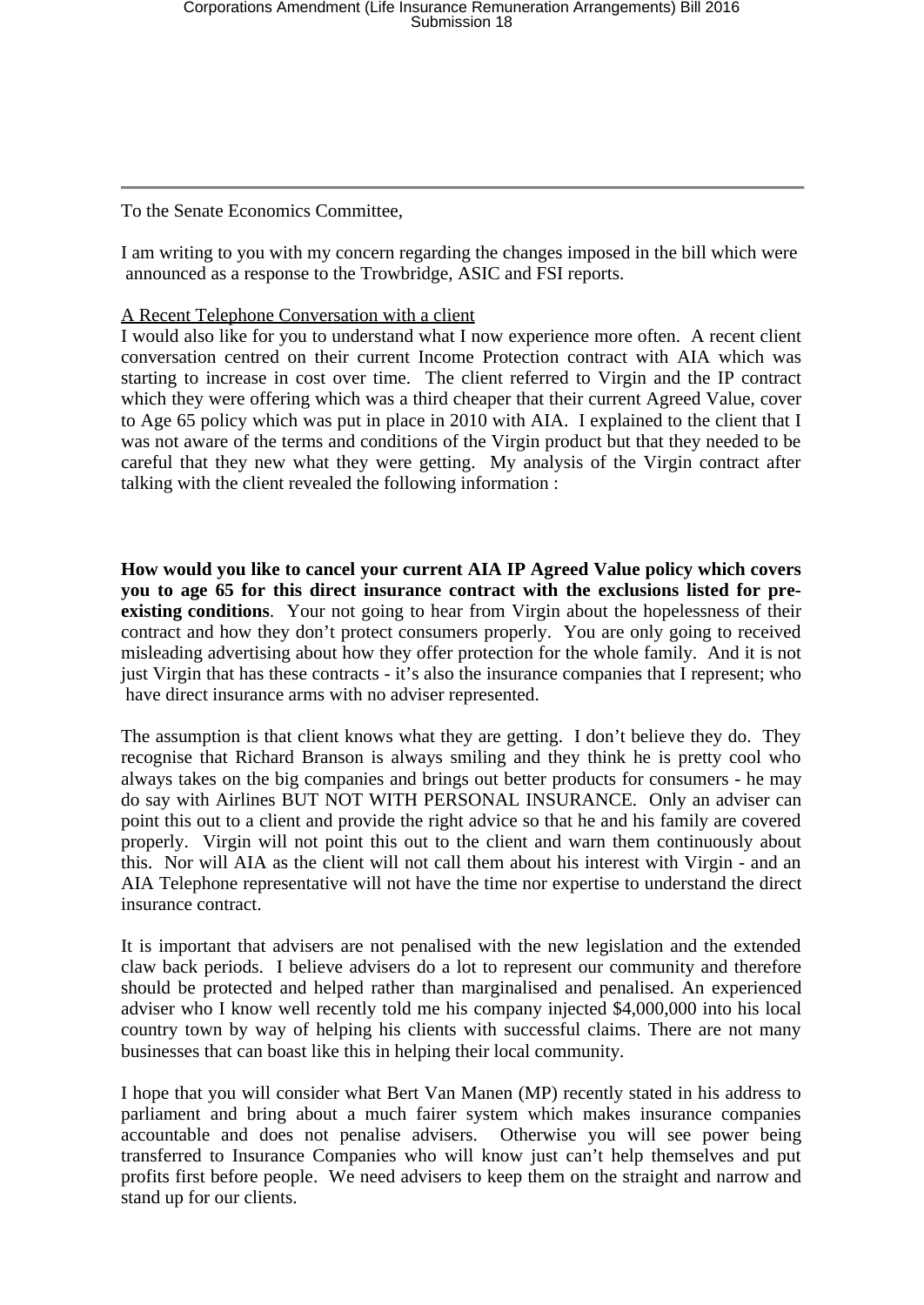To the Senate Economics Committee,

I am writing to you with my concern regarding the changes imposed in the bill which were announced as a response to the Trowbridge, ASIC and FSI reports.

## A Recent Telephone Conversation with a client

I would also like for you to understand what I now experience more often. A recent client conversation centred on their current Income Protection contract with AIA which was starting to increase in cost over time. The client referred to Virgin and the IP contract which they were offering which was a third cheaper that their current Agreed Value, cover to Age 65 policy which was put in place in 2010 with AIA. I explained to the client that I was not aware of the terms and conditions of the Virgin product but that they needed to be careful that they new what they were getting. My analysis of the Virgin contract after talking with the client revealed the following information :

**How would you like to cancel your current AIA IP Agreed Value policy which covers you to age 65 for this direct insurance contract with the exclusions listed for preexisting conditions**. Your not going to hear from Virgin about the hopelessness of their contract and how they don't protect consumers properly. You are only going to received misleading advertising about how they offer protection for the whole family. And it is not just Virgin that has these contracts - it's also the insurance companies that I represent; who have direct insurance arms with no adviser represented.

The assumption is that client knows what they are getting. I don't believe they do. They recognise that Richard Branson is always smiling and they think he is pretty cool who always takes on the big companies and brings out better products for consumers - he may do say with Airlines BUT NOT WITH PERSONAL INSURANCE. Only an adviser can point this out to a client and provide the right advice so that he and his family are covered properly. Virgin will not point this out to the client and warn them continuously about this. Nor will AIA as the client will not call them about his interest with Virgin - and an AIA Telephone representative will not have the time nor expertise to understand the direct insurance contract.

It is important that advisers are not penalised with the new legislation and the extended claw back periods. I believe advisers do a lot to represent our community and therefore should be protected and helped rather than marginalised and penalised. An experienced adviser who I know well recently told me his company injected \$4,000,000 into his local country town by way of helping his clients with successful claims. There are not many businesses that can boast like this in helping their local community.

I hope that you will consider what Bert Van Manen (MP) recently stated in his address to parliament and bring about a much fairer system which makes insurance companies accountable and does not penalise advisers. Otherwise you will see power being transferred to Insurance Companies who will know just can't help themselves and put profits first before people. We need advisers to keep them on the straight and narrow and stand up for our clients.